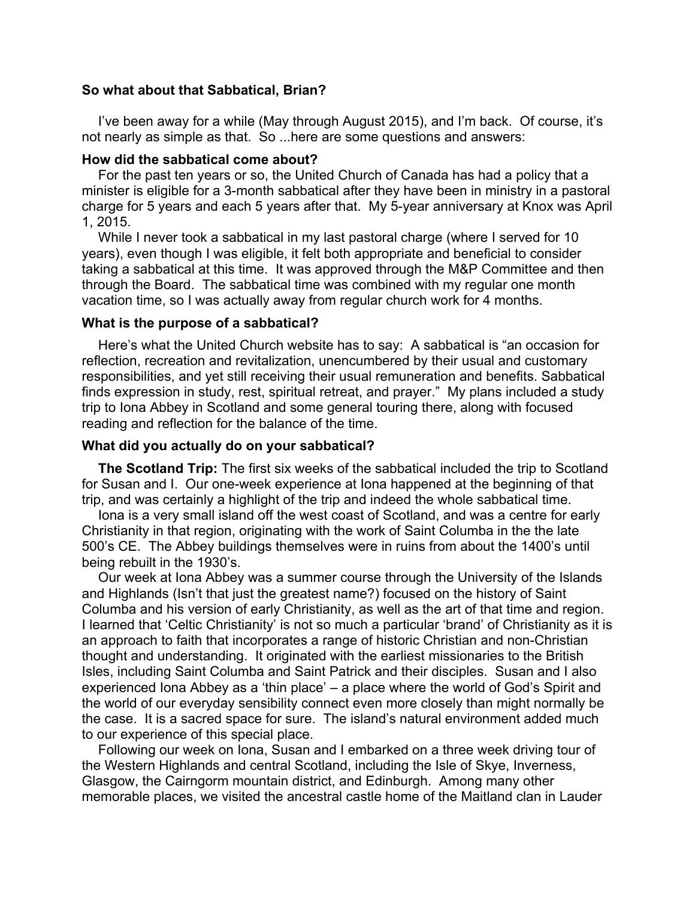# **So what about that Sabbatical, Brian?**

I've been away for a while (May through August 2015), and I'm back. Of course, it's not nearly as simple as that. So ...here are some questions and answers:

#### **How did the sabbatical come about?**

For the past ten years or so, the United Church of Canada has had a policy that a minister is eligible for a 3-month sabbatical after they have been in ministry in a pastoral charge for 5 years and each 5 years after that. My 5-year anniversary at Knox was April 1, 2015.

While I never took a sabbatical in my last pastoral charge (where I served for 10 years), even though I was eligible, it felt both appropriate and beneficial to consider taking a sabbatical at this time. It was approved through the M&P Committee and then through the Board. The sabbatical time was combined with my regular one month vacation time, so I was actually away from regular church work for 4 months.

# **What is the purpose of a sabbatical?**

Here's what the United Church website has to say: A sabbatical is "an occasion for reflection, recreation and revitalization, unencumbered by their usual and customary responsibilities, and yet still receiving their usual remuneration and benefits. Sabbatical finds expression in study, rest, spiritual retreat, and prayer." My plans included a study trip to Iona Abbey in Scotland and some general touring there, along with focused reading and reflection for the balance of the time.

### **What did you actually do on your sabbatical?**

**The Scotland Trip:** The first six weeks of the sabbatical included the trip to Scotland for Susan and I. Our one-week experience at Iona happened at the beginning of that trip, and was certainly a highlight of the trip and indeed the whole sabbatical time.

Iona is a very small island off the west coast of Scotland, and was a centre for early Christianity in that region, originating with the work of Saint Columba in the the late 500's CE. The Abbey buildings themselves were in ruins from about the 1400's until being rebuilt in the 1930's.

Our week at Iona Abbey was a summer course through the University of the Islands and Highlands (Isn't that just the greatest name?) focused on the history of Saint Columba and his version of early Christianity, as well as the art of that time and region. I learned that 'Celtic Christianity' is not so much a particular 'brand' of Christianity as it is an approach to faith that incorporates a range of historic Christian and non-Christian thought and understanding. It originated with the earliest missionaries to the British Isles, including Saint Columba and Saint Patrick and their disciples. Susan and I also experienced Iona Abbey as a 'thin place' – a place where the world of God's Spirit and the world of our everyday sensibility connect even more closely than might normally be the case. It is a sacred space for sure. The island's natural environment added much to our experience of this special place.

Following our week on Iona, Susan and I embarked on a three week driving tour of the Western Highlands and central Scotland, including the Isle of Skye, Inverness, Glasgow, the Cairngorm mountain district, and Edinburgh. Among many other memorable places, we visited the ancestral castle home of the Maitland clan in Lauder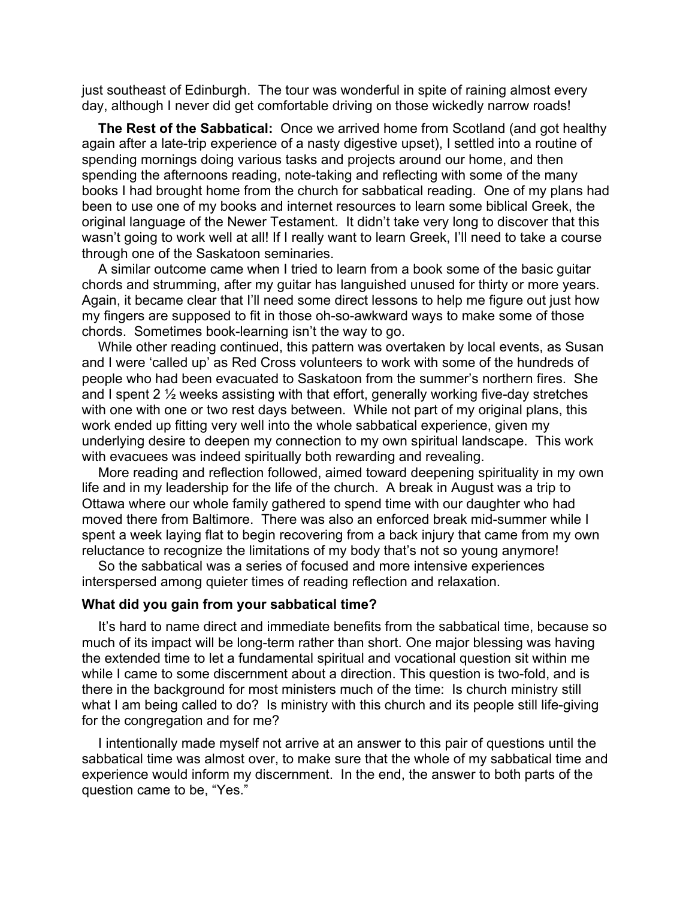just southeast of Edinburgh. The tour was wonderful in spite of raining almost every day, although I never did get comfortable driving on those wickedly narrow roads!

**The Rest of the Sabbatical:** Once we arrived home from Scotland (and got healthy again after a late-trip experience of a nasty digestive upset), I settled into a routine of spending mornings doing various tasks and projects around our home, and then spending the afternoons reading, note-taking and reflecting with some of the many books I had brought home from the church for sabbatical reading. One of my plans had been to use one of my books and internet resources to learn some biblical Greek, the original language of the Newer Testament. It didn't take very long to discover that this wasn't going to work well at all! If I really want to learn Greek, I'll need to take a course through one of the Saskatoon seminaries.

A similar outcome came when I tried to learn from a book some of the basic guitar chords and strumming, after my guitar has languished unused for thirty or more years. Again, it became clear that I'll need some direct lessons to help me figure out just how my fingers are supposed to fit in those oh-so-awkward ways to make some of those chords. Sometimes book-learning isn't the way to go.

While other reading continued, this pattern was overtaken by local events, as Susan and I were 'called up' as Red Cross volunteers to work with some of the hundreds of people who had been evacuated to Saskatoon from the summer's northern fires. She and I spent 2 ½ weeks assisting with that effort, generally working five-day stretches with one with one or two rest days between. While not part of my original plans, this work ended up fitting very well into the whole sabbatical experience, given my underlying desire to deepen my connection to my own spiritual landscape. This work with evacuees was indeed spiritually both rewarding and revealing.

More reading and reflection followed, aimed toward deepening spirituality in my own life and in my leadership for the life of the church. A break in August was a trip to Ottawa where our whole family gathered to spend time with our daughter who had moved there from Baltimore. There was also an enforced break mid-summer while I spent a week laying flat to begin recovering from a back injury that came from my own reluctance to recognize the limitations of my body that's not so young anymore!

So the sabbatical was a series of focused and more intensive experiences interspersed among quieter times of reading reflection and relaxation.

#### **What did you gain from your sabbatical time?**

It's hard to name direct and immediate benefits from the sabbatical time, because so much of its impact will be long-term rather than short. One major blessing was having the extended time to let a fundamental spiritual and vocational question sit within me while I came to some discernment about a direction. This question is two-fold, and is there in the background for most ministers much of the time: Is church ministry still what I am being called to do? Is ministry with this church and its people still life-giving for the congregation and for me?

I intentionally made myself not arrive at an answer to this pair of questions until the sabbatical time was almost over, to make sure that the whole of my sabbatical time and experience would inform my discernment. In the end, the answer to both parts of the question came to be, "Yes."